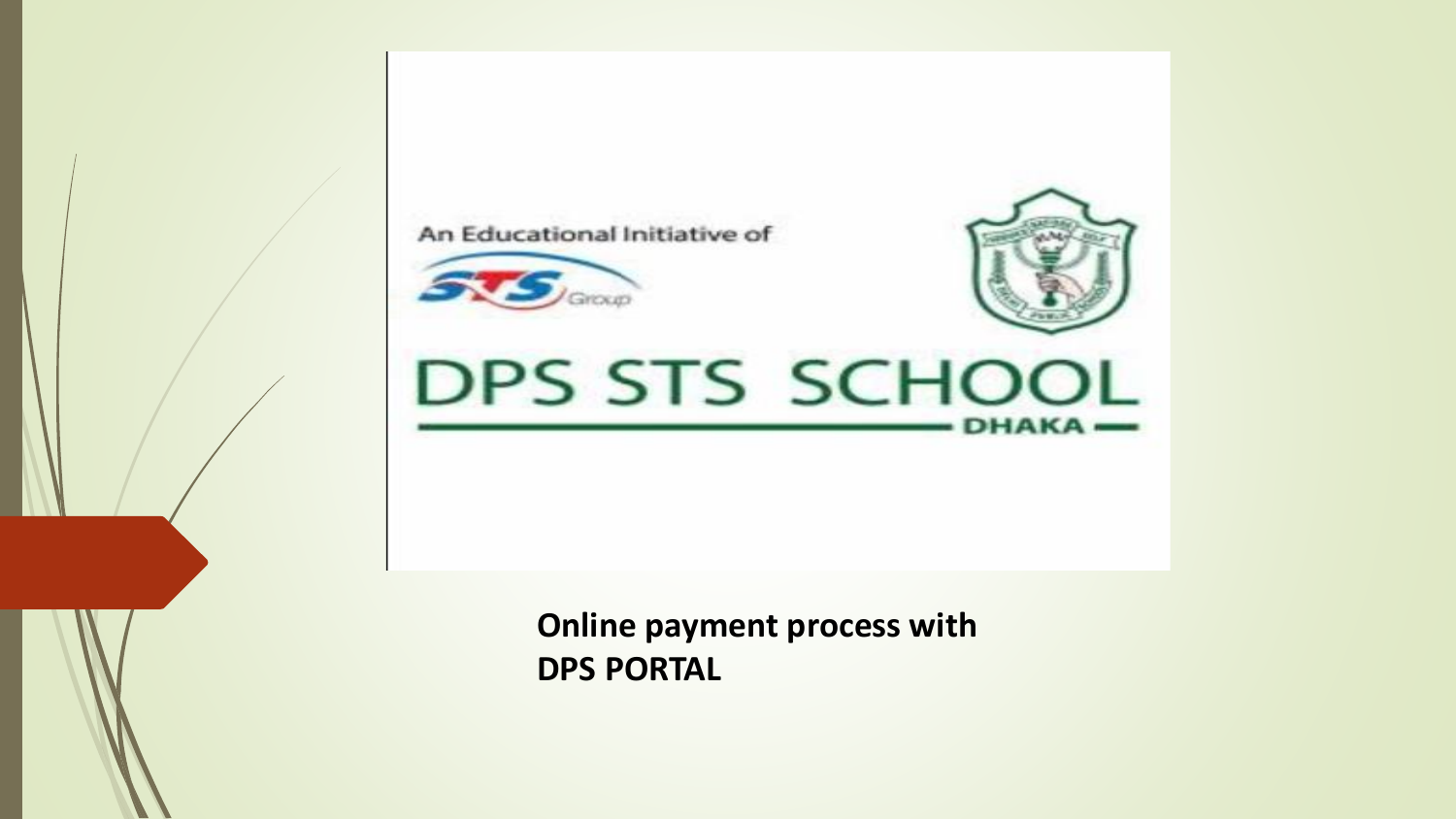An Educational Initiative of





DPS STS SCHOOL  $-DHAKA$ 

> **Online payment process with DPS PORTAL**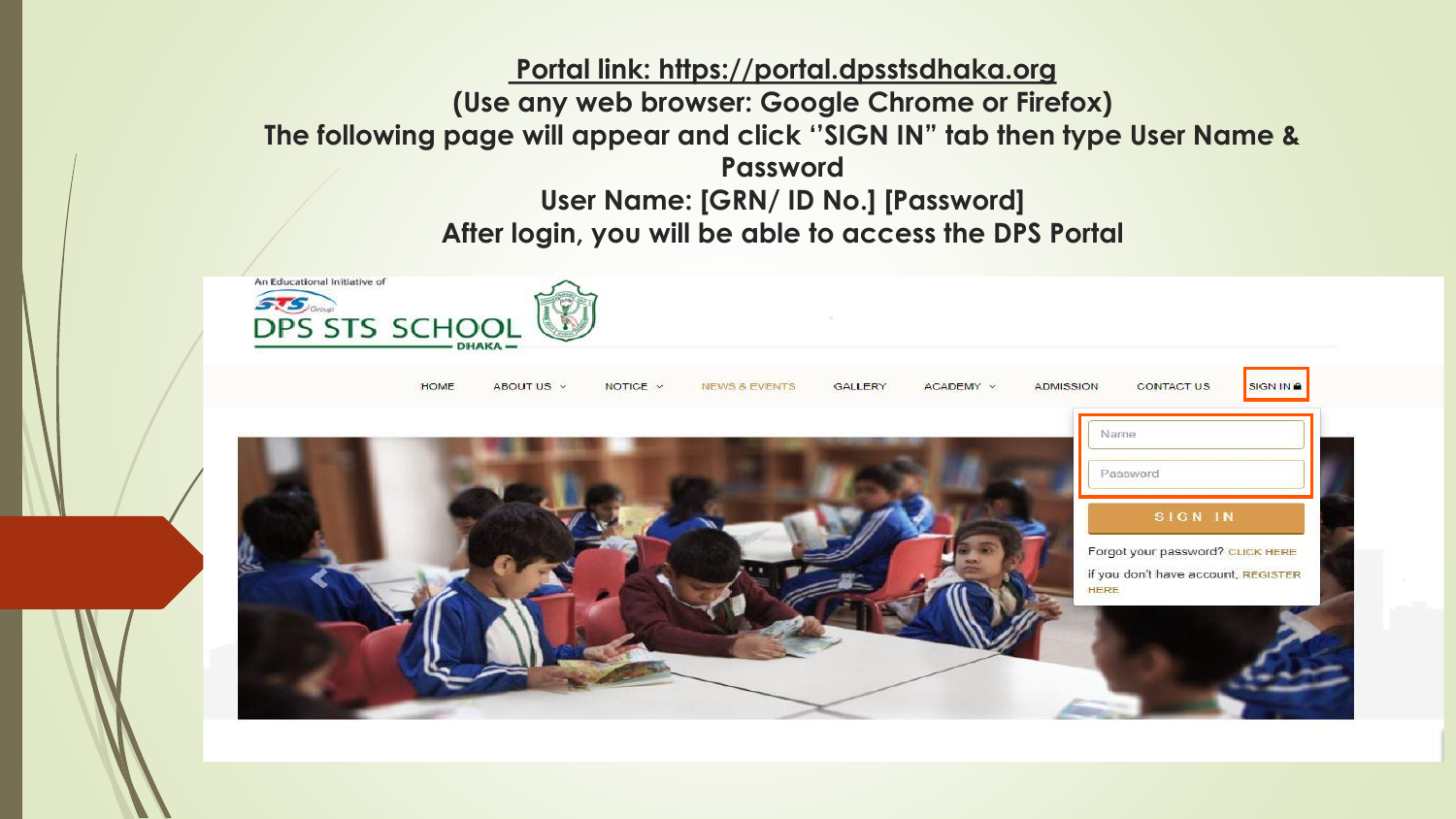## **Portal link: https://portal.dpsstsdhaka.org (Use any web browser: Google Chrome or Firefox) The following page will appear and click ''SIGN IN" tab then type User Name & Password User Name: [GRN/ ID No.] [Password] After login, you will be able to access the DPS Portal**

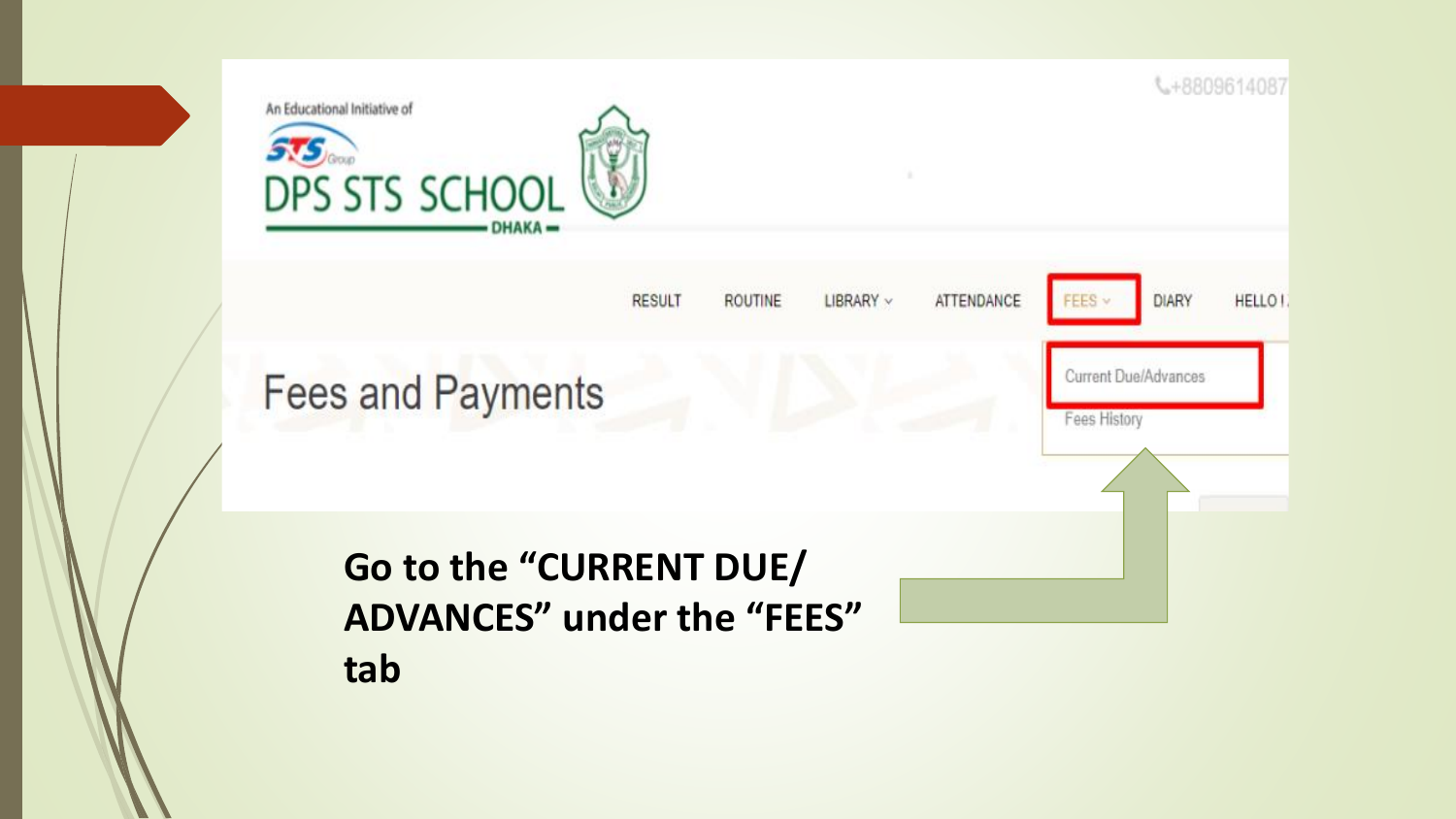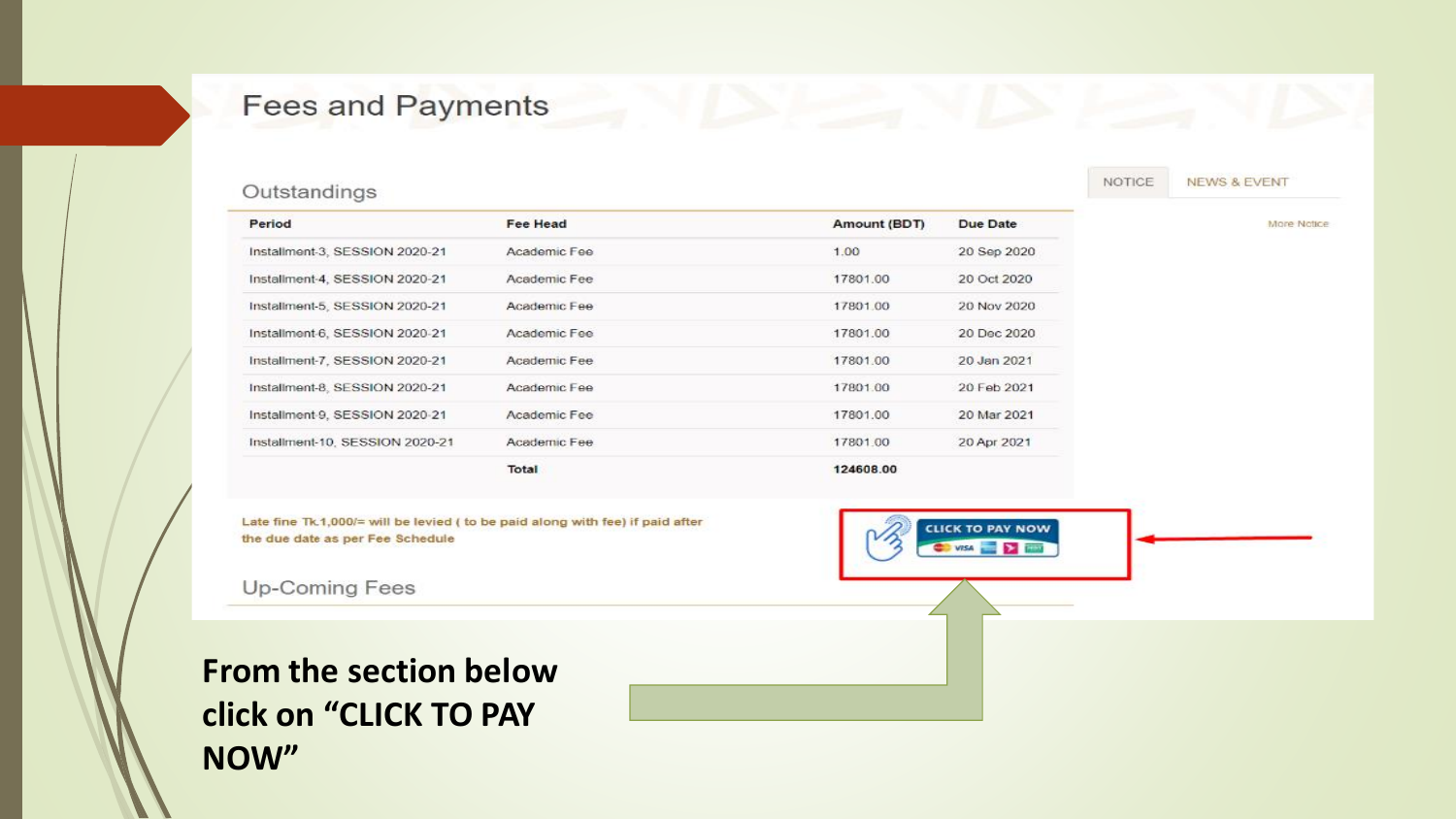## **Fees and Payments**

#### Outstandings

| Period                          | <b>Fee Head</b> | Amount (BDT) | Due Date    |
|---------------------------------|-----------------|--------------|-------------|
| Installment-3, SESSION 2020-21  | Academic Fee    | 1.00         | 20 Sep 2020 |
| Installment-4, SESSION 2020-21  | Academic Fee    | 17801.00     | 20 Oct 2020 |
| Installment-5, SESSION 2020-21  | Academic Fee    | 17801.00     | 20 Nov 2020 |
| Installment-6, SESSION 2020-21  | Academic Fee    | 17801.00     | 20 Dec 2020 |
| Installment-7, SESSION 2020-21  | Academic Fee    | 17801.00     | 20 Jan 2021 |
| Installment-8, SESSION 2020-21  | Academic Fee    | 17801.00     | 20 Feb 2021 |
| Installment-9, SESSION 2020-21  | Academic Fee    | 17801.00     | 20 Mar 2021 |
| Installment-10, SESSION 2020-21 | Academic Fee    | 17801.00     | 20 Apr 2021 |
|                                 | Total           | 124608.00    |             |

Late fine Tk.1,000/= will be levied ( to be paid along with fee) if paid after the due date as per Fee Schedule

Up-Coming Fees

**From the section below click on "CLICK TO PAY NOW"**

NOTICE **NEWS & EVENT** 

**CLICK TO PAY NOW** 

**CONSA CONSTRUCTION** 

More Notice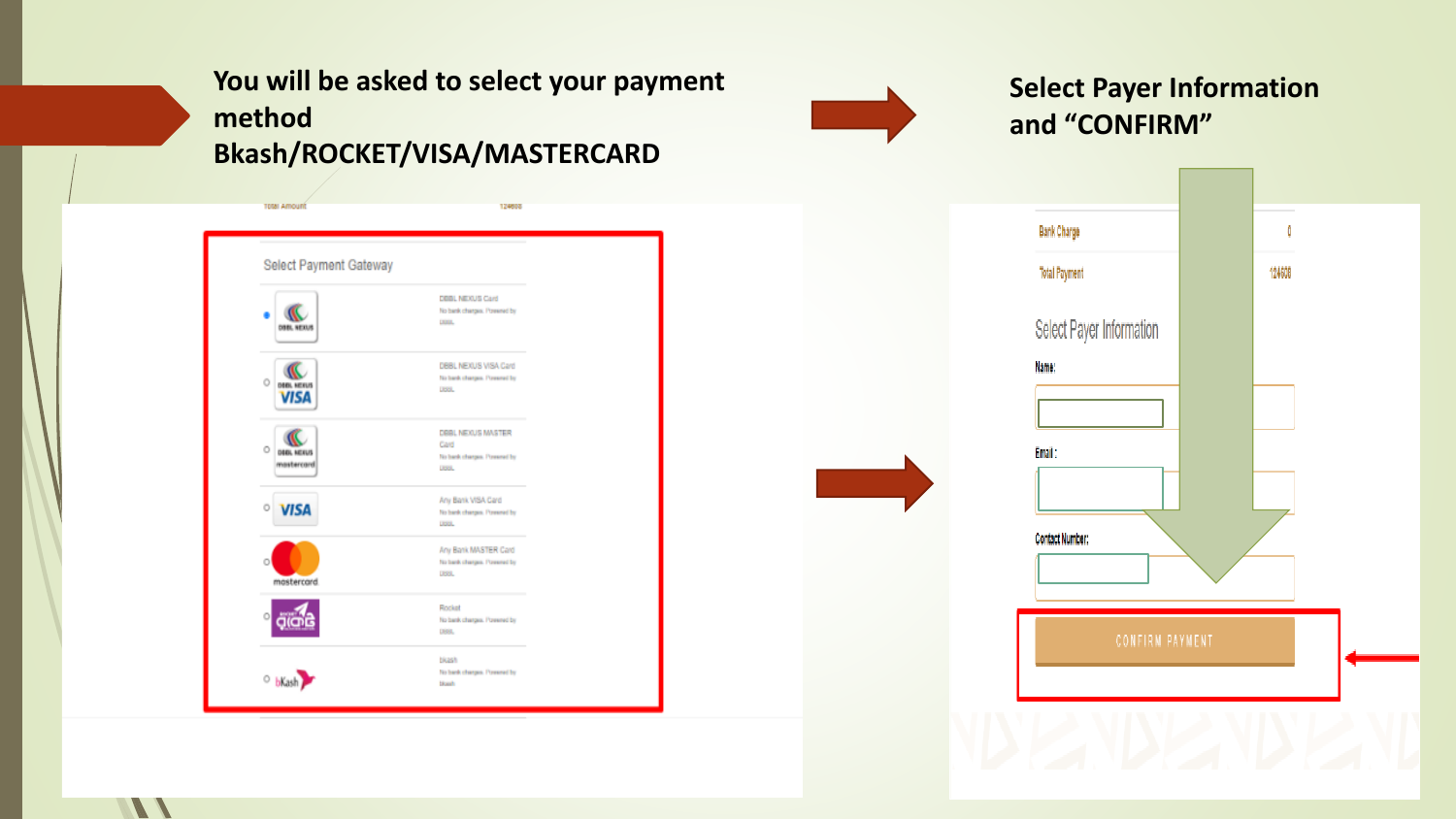# **You will be asked to select your payment method Bkash/ROCKET/VISA/MASTERCARD**

124608

Select Payment Gateway DEEL NEXUS Card No bank charges. Powered by DOOL DBBL NEXUS к DBBL NEXUS VISA Card No bank charges. Powered by  $\circ$ **DODL NEXUS** DISSIL. **VISA** DBBL NEXUS MASTER Œ Card  $\circ$ **DEBL NEXUS** No bank charges. Powered by mastercard **Listal** Any Bank VISA Card<br>No hards charges. Powered by<br>USBL  $\circ$ selection of the basic charges. Personal by DSSL.  $\begin{picture}(180,10) \put(0,0){\line(1,0){10}} \put(10,0){\line(1,0){10}} \put(10,0){\line(1,0){10}} \put(10,0){\line(1,0){10}} \put(10,0){\line(1,0){10}} \put(10,0){\line(1,0){10}} \put(10,0){\line(1,0){10}} \put(10,0){\line(1,0){10}} \put(10,0){\line(1,0){10}} \put(10,0){\line(1,0){10}} \put(10,0){\line(1,0){10}} \put(10,0){\line($ No bank charges. Powered by bKash **Stands** 

**TOtal Amount** 

 $\mathcal{L}$ 

**Select Payer Information and "CONFIRM"**

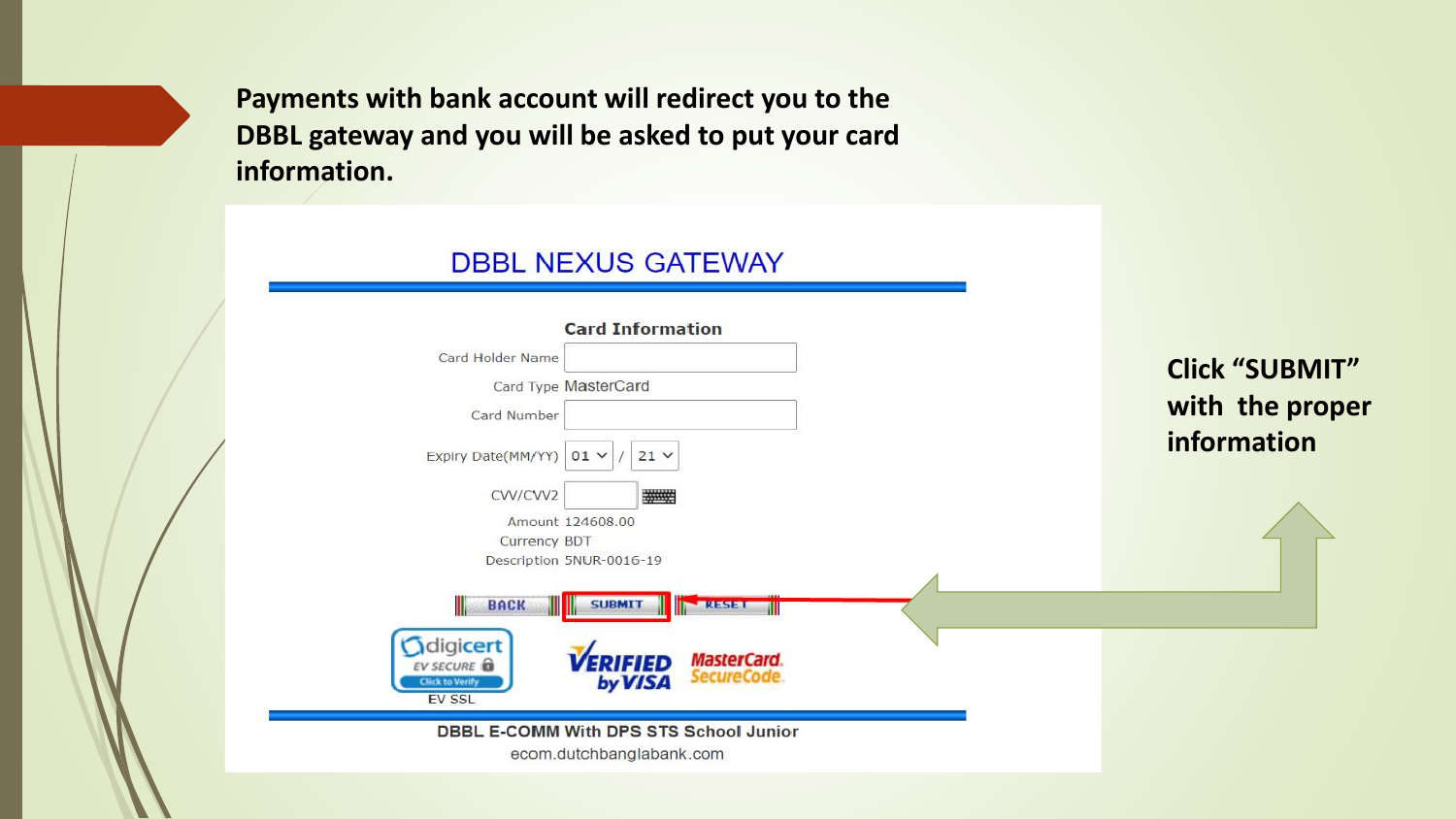**Payments with bank account will redirect you to the DBBL gateway and you will be asked to put your card information.**

## **DBBL NEXUS GATEWAY**

| <b>Card Information</b><br>Card Holder Name                                                                                        |                       |
|------------------------------------------------------------------------------------------------------------------------------------|-----------------------|
| Card Type MasterCard                                                                                                               | <b>Click "SUBMIT"</b> |
| Card Number                                                                                                                        | with the proper       |
| Expiry Date(MM/YY)<br>$21 \vee$<br>$01 \vee$                                                                                       | information           |
| CVV/CVV2                                                                                                                           |                       |
| Amount 124608.00                                                                                                                   |                       |
| Currency BDT                                                                                                                       |                       |
| Description 5NUR-0016-19                                                                                                           |                       |
| Ш<br><b>BACK</b><br><b>SUBMIT</b><br>RESET                                                                                         |                       |
| digicert<br><b>MasterCard.</b><br>ERIFIED<br><b>EV SECURE</b><br>SecureCode.<br>by VISA<br><b>Click to Verify</b><br><b>EV SSL</b> |                       |
| DBBL E-COMM With DPS STS School Junior<br>ecom.dutchbanglabank.com                                                                 |                       |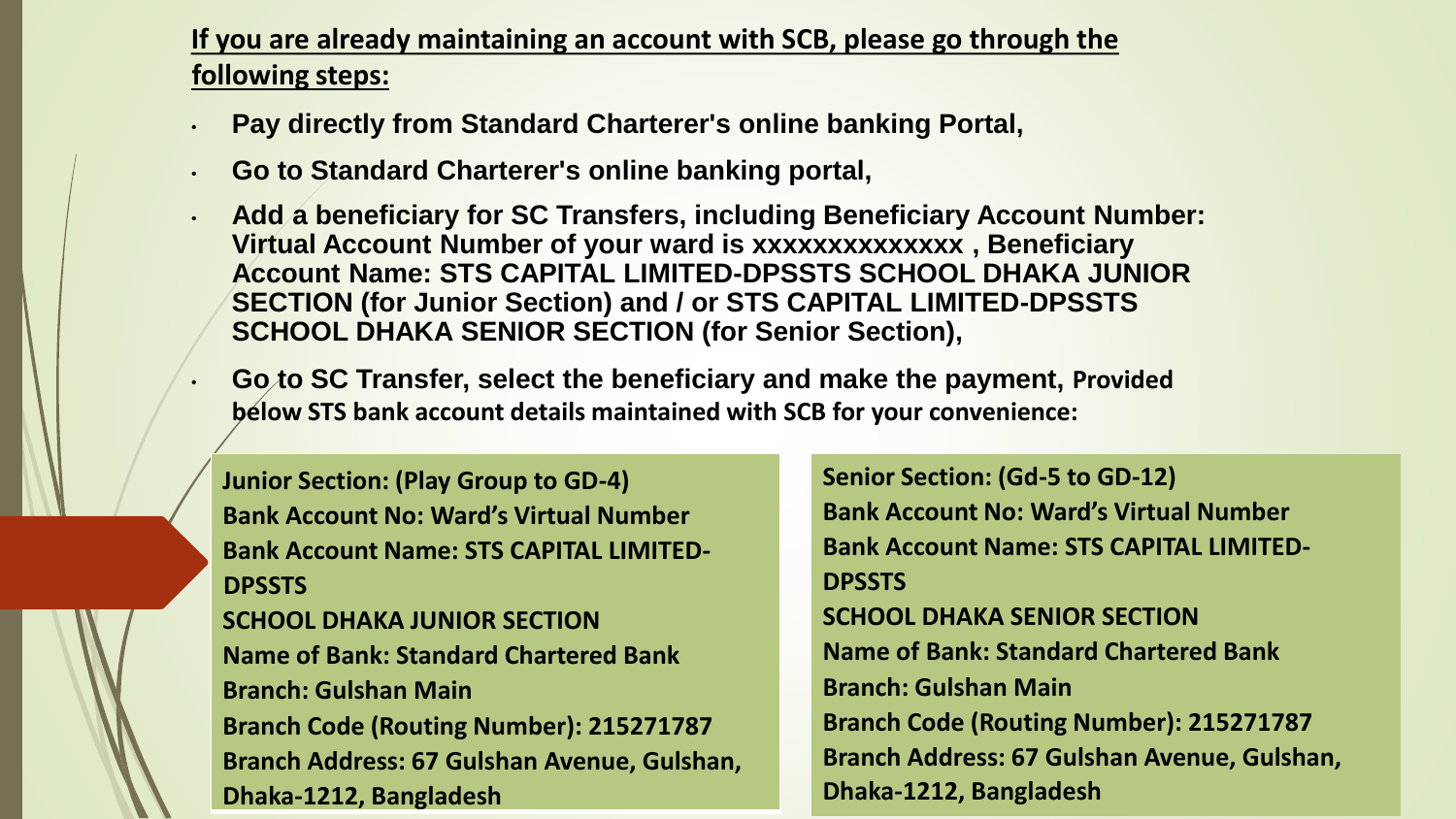# **If you are already maintaining an account with SCB, please go through the following steps:**

- **Pay directly from Standard Charterer's online banking Portal,**
- **Go to Standard Charterer's online banking portal,**
- **Add a beneficiary for SC Transfers, including Beneficiary Account Number: Virtual Account Number of your ward is xxxxxxxxxxxxxx , Beneficiary Account Name: STS CAPITAL LIMITED-DPSSTS SCHOOL DHAKA JUNIOR SECTION (for Junior Section) and / or STS CAPITAL LIMITED-DPSSTS SCHOOL DHAKA SENIOR SECTION (for Senior Section),**
- **Go to SC Transfer, select the beneficiary and make the payment, Provided below STS bank account details maintained with SCB for your convenience:**

**Junior Section: (Play Group to GD-4) Bank Account No: Ward's Virtual Number Bank Account Name: STS CAPITAL LIMITED-DPSSTS** 

**SCHOOL DHAKA JUNIOR SECTION Name of Bank: Standard Chartered Bank Branch: Gulshan Main Branch Code (Routing Number): 215271787 Branch Address: 67 Gulshan Avenue, Gulshan, Dhaka-1212, Bangladesh** 

**Senior Section: (Gd-5 to GD-12) Bank Account No: Ward's Virtual Number Bank Account Name: STS CAPITAL LIMITED-DPSSTS SCHOOL DHAKA SENIOR SECTION Name of Bank: Standard Chartered Bank Branch: Gulshan Main Branch Code (Routing Number): 215271787 Branch Address: 67 Gulshan Avenue, Gulshan, Dhaka-1212, Bangladesh**